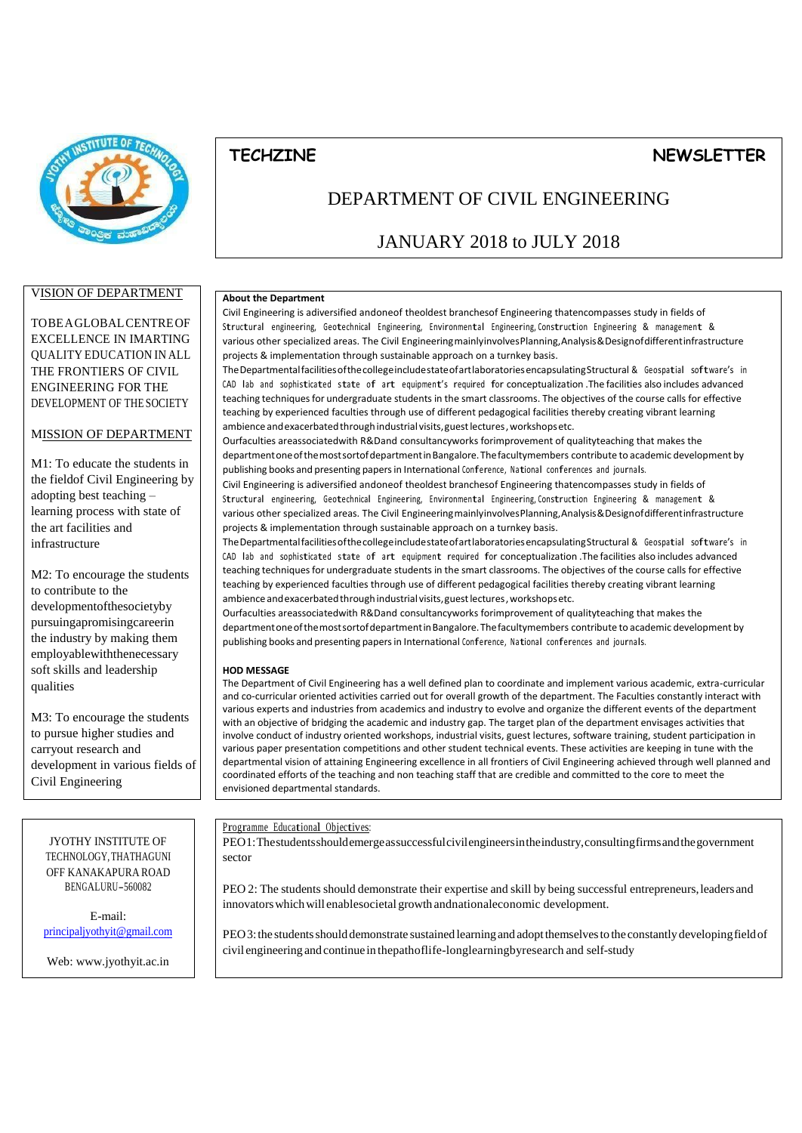

# VISION OF DEPARTMENT

TOBEAGLOBALCENTREOF EXCELLENCE IN IMARTING QUALITY EDUCATION IN ALL THE FRONTIERS OF CIVIL ENGINEERING FOR THE DEVELOPMENT OF THE SOCIETY

## MISSION OF DEPARTMENT

M1: To educate the students in the fieldof Civil Engineering by adopting best teaching – learning process with state of the art facilities and infrastructure

M2: To encourage the students to contribute to the developmentofthesocietyby pursuingapromisingcareerin the industry by making them employablewiththenecessary soft skills and leadership qualities

M3: To encourage the students to pursue higher studies and carryout research and development in various fields of Civil Engineering

# DEPARTMENT OF CIVIL ENGINEERING

**TECHZINE NEWSLETTER**

# JANUARY 2018 to JULY 2018

#### **About the Department**

Civil Engineering is adiversified andoneof theoldest branchesof Engineering thatencompasses study in fields of Structural engineering, Geotechnical Engineering, Environmental Engineering, Construction Engineering & management & various other specialized areas. The Civil EngineeringmainlyinvolvesPlanning,Analysis&Designofdifferentinfrastructure projects & implementation through sustainable approach on a turnkey basis.

TheDepartmentalfacilitiesofthecollegeincludestateofartlaboratoriesencapsulatingStructural & Geospatial software's in CAD lab and sophisticated state of art equipment'<sup>s</sup> required for conceptualization .The facilities also includes advanced teaching techniques for undergraduate students in the smart classrooms. The objectives of the course calls for effective teaching by experienced faculties through use of different pedagogical facilities thereby creating vibrant learning ambience and exacerbated through industrial visits, guest lectures, workshopsetc.

Ourfaculties areassociatedwith R&Dand consultancyworks forimprovement of qualityteaching that makes the department one of the most sortof department in Bangalore. The facultymembers contribute to academic development by publishing books and presenting papers in International Conference, National conferences and journals.

Civil Engineering is adiversified andoneof theoldest branchesof Engineering thatencompasses study in fields of Structural engineering, Geotechnical Engineering, Environmental Engineering, Construction Engineering & management & various other specialized areas. The Civil EngineeringmainlyinvolvesPlanning,Analysis&Designofdifferentinfrastructure projects & implementation through sustainable approach on a turnkey basis.

TheDepartmentalfacilitiesofthecollegeincludestateofartlaboratoriesencapsulatingStructural & Geospatial software's in CAD lab and sophisticated state of art equipment required for conceptualization .The facilities also includes advanced teaching techniques for undergraduate students in the smart classrooms. The objectives of the course calls for effective teaching by experienced faculties through use of different pedagogical facilities thereby creating vibrant learning ambience and exacerbated through industrial visits, guest lectures, workshops etc.

Ourfaculties areassociatedwith R&Dand consultancyworks forimprovement of qualityteaching that makes the department one of the most sort of department in Bangalore. The facultymembers contribute to academic development by publishing books and presenting papersin International Conference, National conferences and journals.

#### **HOD MESSAGE**

The Department of Civil Engineering has a well defined plan to coordinate and implement various academic, extra-curricular and co-curricular oriented activities carried out for overall growth of the department. The Faculties constantly interact with various experts and industries from academics and industry to evolve and organize the different events of the department with an objective of bridging the academic and industry gap. The target plan of the department envisages activities that involve conduct of industry oriented workshops, industrial visits, guest lectures, software training, student participation in various paper presentation competitions and other student technical events. These activities are keeping in tune with the departmental vision of attaining Engineering excellence in all frontiers of Civil Engineering achieved through well planned and coordinated efforts of the teaching and non teaching staff that are credible and committed to the core to meet the envisioned departmental standards.

#### Programme Educational Objectives:

PEO1:Thestudentsshouldemergeassuccessfulcivilengineersintheindustry,consultingfirmsandthegovernment sector

PEO 2: The students should demonstrate their expertise and skill by being successful entrepreneurs,leadersand innovatorswhichwill enablesocietal growth andnationaleconomic development.

PEO3: the students should demonstrate sustained learning and adopt themselves to the constantly developing field of civil engineering and continue in thepathoflife-longlearningbyresearch and self-study

## JYOTHY INSTITUTE OF TECHNOLOGY,THATHAGUNI OFF KANAKAPURA ROAD BENGALURU-560082

E-mail: [principaljyothyit@gmail.com](mailto:rincipaljyothyit@gmail.com)

Web[: www.jyothyit.ac.in](http://www.jyothyit.ac.in/)